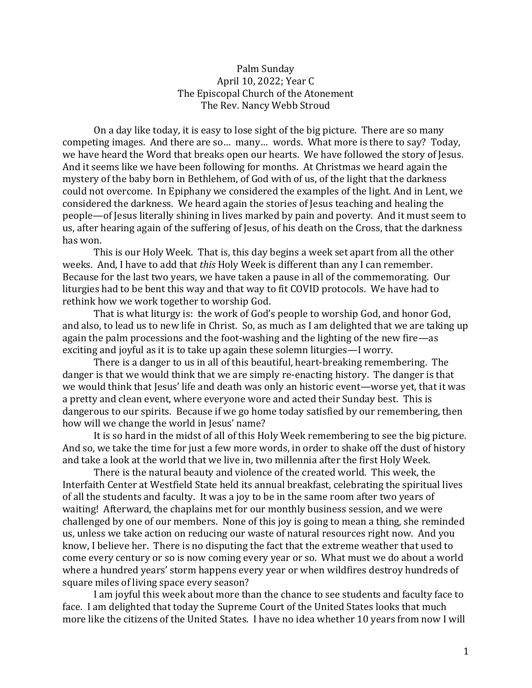## Palm Sunday April 10, 2022; Year C The Episcopal Church of the Atonement The Rev. Nancy Webb Stroud

On a day like today, it is easy to lose sight of the big picture. There are so many competing images. And there are so… many… words. What more is there to say? Today, we have heard the Word that breaks open our hearts. We have followed the story of Jesus. And it seems like we have been following for months. At Christmas we heard again the mystery of the baby born in Bethlehem, of God with of us, of the light that the darkness could not overcome. In Epiphany we considered the examples of the light. And in Lent, we considered the darkness. We heard again the stories of Jesus teaching and healing the people—of Jesus literally shining in lives marked by pain and poverty. And it must seem to us, after hearing again of the suffering of Jesus, of his death on the Cross, that the darkness has won.

This is our Holy Week. That is, this day begins a week set apart from all the other weeks. And, I have to add that *this* Holy Week is different than any I can remember. Because for the last two years, we have taken a pause in all of the commemorating. Our liturgies had to be bent this way and that way to fit COVID protocols. We have had to rethink how we work together to worship God.

That is what liturgy is: the work of God's people to worship God, and honor God, and also, to lead us to new life in Christ. So, as much as I am delighted that we are taking up again the palm processions and the foot-washing and the lighting of the new fire—as exciting and joyful as it is to take up again these solemn liturgies—I worry.

There is a danger to us in all of this beautiful, heart-breaking remembering. The danger is that we would think that we are simply re-enacting history. The danger is that we would think that Jesus' life and death was only an historic event—worse yet, that it was a pretty and clean event, where everyone wore and acted their Sunday best. This is dangerous to our spirits. Because if we go home today satisfied by our remembering, then how will we change the world in Jesus' name?

It is so hard in the midst of all of this Holy Week remembering to see the big picture. And so, we take the time for just a few more words, in order to shake off the dust of history and take a look at the world that we live in, two millennia after the first Holy Week.

There is the natural beauty and violence of the created world. This week, the Interfaith Center at Westfield State held its annual breakfast, celebrating the spiritual lives of all the students and faculty. It was a joy to be in the same room after two years of waiting! Afterward, the chaplains met for our monthly business session, and we were challenged by one of our members. None of this joy is going to mean a thing, she reminded us, unless we take action on reducing our waste of natural resources right now. And you know, I believe her. There is no disputing the fact that the extreme weather that used to come every century or so is now coming every year or so. What must we do about a world where a hundred years' storm happens every year or when wildfires destroy hundreds of square miles of living space every season?

I am joyful this week about more than the chance to see students and faculty face to face. I am delighted that today the Supreme Court of the United States looks that much more like the citizens of the United States. I have no idea whether 10 years from now I will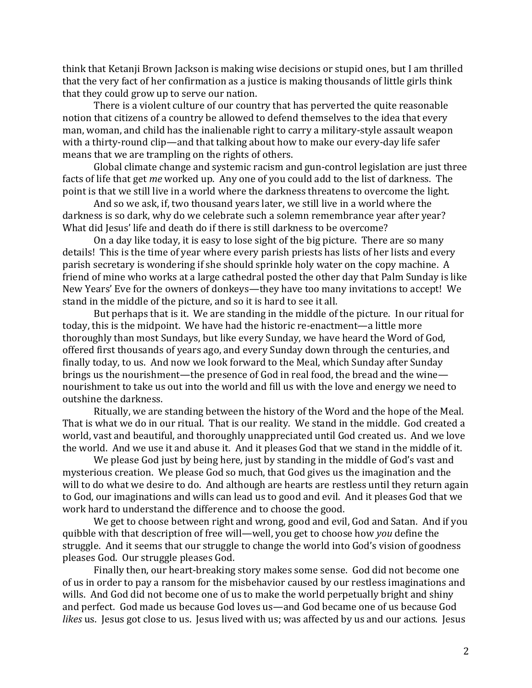think that Ketanji Brown Jackson is making wise decisions or stupid ones, but I am thrilled that the very fact of her confirmation as a justice is making thousands of little girls think that they could grow up to serve our nation.

There is a violent culture of our country that has perverted the quite reasonable notion that citizens of a country be allowed to defend themselves to the idea that every man, woman, and child has the inalienable right to carry a military-style assault weapon with a thirty-round clip—and that talking about how to make our every-day life safer means that we are trampling on the rights of others.

Global climate change and systemic racism and gun-control legislation are just three facts of life that get *me* worked up. Any one of you could add to the list of darkness. The point is that we still live in a world where the darkness threatens to overcome the light.

And so we ask, if, two thousand years later, we still live in a world where the darkness is so dark, why do we celebrate such a solemn remembrance year after year? What did Jesus' life and death do if there is still darkness to be overcome?

On a day like today, it is easy to lose sight of the big picture. There are so many details! This is the time of year where every parish priests has lists of her lists and every parish secretary is wondering if she should sprinkle holy water on the copy machine. A friend of mine who works at a large cathedral posted the other day that Palm Sunday is like New Years' Eve for the owners of donkeys—they have too many invitations to accept! We stand in the middle of the picture, and so it is hard to see it all.

But perhaps that is it. We are standing in the middle of the picture. In our ritual for today, this is the midpoint. We have had the historic re-enactment—a little more thoroughly than most Sundays, but like every Sunday, we have heard the Word of God, offered first thousands of years ago, and every Sunday down through the centuries, and finally today, to us. And now we look forward to the Meal, which Sunday after Sunday brings us the nourishment—the presence of God in real food, the bread and the wine nourishment to take us out into the world and fill us with the love and energy we need to outshine the darkness.

Ritually, we are standing between the history of the Word and the hope of the Meal. That is what we do in our ritual. That is our reality. We stand in the middle. God created a world, vast and beautiful, and thoroughly unappreciated until God created us. And we love the world. And we use it and abuse it. And it pleases God that we stand in the middle of it.

We please God just by being here, just by standing in the middle of God's vast and mysterious creation. We please God so much, that God gives us the imagination and the will to do what we desire to do. And although are hearts are restless until they return again to God, our imaginations and wills can lead us to good and evil. And it pleases God that we work hard to understand the difference and to choose the good.

We get to choose between right and wrong, good and evil, God and Satan. And if you quibble with that description of free will—well, you get to choose how *you* define the struggle. And it seems that our struggle to change the world into God's vision of goodness pleases God. Our struggle pleases God.

Finally then, our heart-breaking story makes some sense. God did not become one of us in order to pay a ransom for the misbehavior caused by our restless imaginations and wills. And God did not become one of us to make the world perpetually bright and shiny and perfect. God made us because God loves us—and God became one of us because God *likes* us. Jesus got close to us. Jesus lived with us; was affected by us and our actions. Jesus